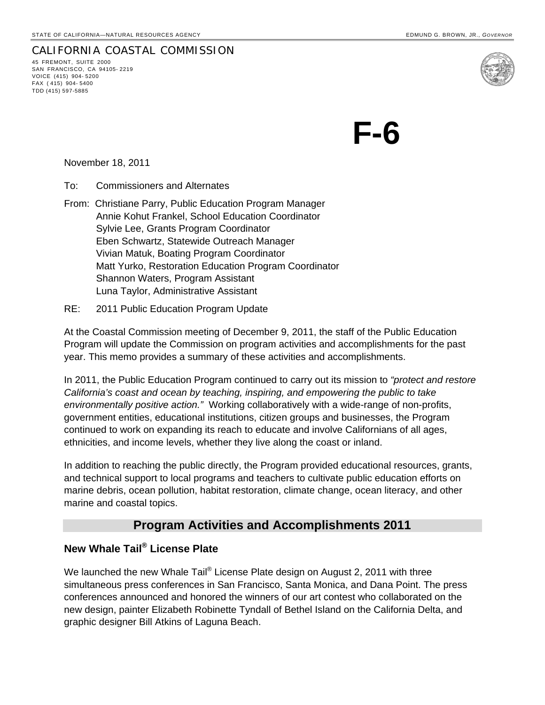CALIFORNIA COASTAL COMMISSION 45 FREMONT, SUITE 2000 SAN FRANCISCO, CA 94105- 2219 VOICE (415) 904- 5200 FAX ( 415) 904- 5400 TDD (415) 597-5885

**F-6** 

November 18, 2011

To: Commissioners and Alternates

From: Christiane Parry, Public Education Program Manager Annie Kohut Frankel, School Education Coordinator Sylvie Lee, Grants Program Coordinator Eben Schwartz, Statewide Outreach Manager Vivian Matuk, Boating Program Coordinator Matt Yurko, Restoration Education Program Coordinator Shannon Waters, Program Assistant Luna Taylor, Administrative Assistant

#### RE: 2011 Public Education Program Update

At the Coastal Commission meeting of December 9, 2011, the staff of the Public Education Program will update the Commission on program activities and accomplishments for the past year. This memo provides a summary of these activities and accomplishments.

In 2011, the Public Education Program continued to carry out its mission to *"protect and restore California's coast and ocean by teaching, inspiring, and empowering the public to take environmentally positive action."* Working collaboratively with a wide-range of non-profits, government entities, educational institutions, citizen groups and businesses, the Program continued to work on expanding its reach to educate and involve Californians of all ages, ethnicities, and income levels, whether they live along the coast or inland.

In addition to reaching the public directly, the Program provided educational resources, grants, and technical support to local programs and teachers to cultivate public education efforts on marine debris, ocean pollution, habitat restoration, climate change, ocean literacy, and other marine and coastal topics.

# **Program Activities and Accomplishments 2011**

## **New Whale Tail® License Plate**

We launched the new Whale Tail<sup>®</sup> License Plate design on August 2, 2011 with three simultaneous press conferences in San Francisco, Santa Monica, and Dana Point. The press conferences announced and honored the winners of our art contest who collaborated on the new design, painter Elizabeth Robinette Tyndall of Bethel Island on the California Delta, and graphic designer Bill Atkins of Laguna Beach.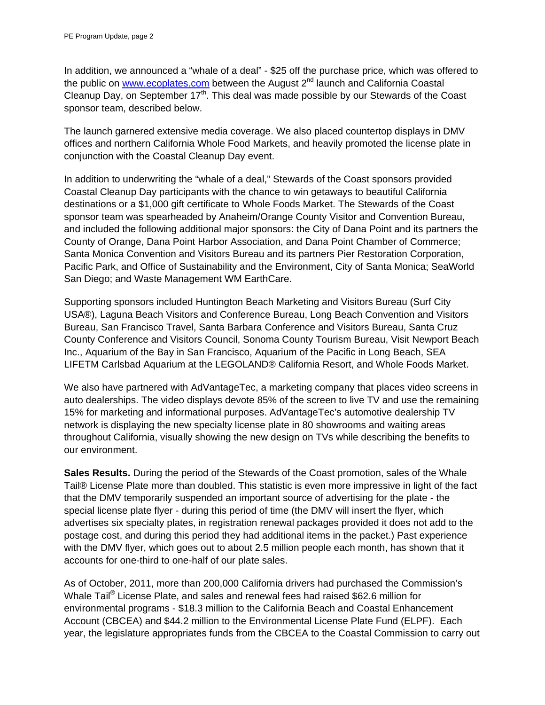In addition, we announced a "whale of a deal" - \$25 off the purchase price, which was offered to the public on www.ecoplates.com between the August  $2^{nd}$  launch and California Coastal Cleanup Day, on September 17<sup>th</sup>. This deal was made possible by our Stewards of the Coast sponsor team, described below.

The launch garnered extensive media coverage. We also placed countertop displays in DMV offices and northern California Whole Food Markets, and heavily promoted the license plate in conjunction with the Coastal Cleanup Day event.

In addition to underwriting the "whale of a deal," Stewards of the Coast sponsors provided Coastal Cleanup Day participants with the chance to win getaways to beautiful California destinations or a \$1,000 gift certificate to Whole Foods Market. The Stewards of the Coast sponsor team was spearheaded by Anaheim/Orange County Visitor and Convention Bureau, and included the following additional major sponsors: the City of Dana Point and its partners the County of Orange, Dana Point Harbor Association, and Dana Point Chamber of Commerce; Santa Monica Convention and Visitors Bureau and its partners Pier Restoration Corporation, Pacific Park, and Office of Sustainability and the Environment, City of Santa Monica; SeaWorld San Diego; and Waste Management WM EarthCare.

Supporting sponsors included Huntington Beach Marketing and Visitors Bureau (Surf City USA®), Laguna Beach Visitors and Conference Bureau, Long Beach Convention and Visitors Bureau, San Francisco Travel, Santa Barbara Conference and Visitors Bureau, Santa Cruz County Conference and Visitors Council, Sonoma County Tourism Bureau, Visit Newport Beach Inc., Aquarium of the Bay in San Francisco, Aquarium of the Pacific in Long Beach, SEA LIFETM Carlsbad Aquarium at the LEGOLAND® California Resort, and Whole Foods Market.

We also have partnered with AdVantageTec, a marketing company that places video screens in auto dealerships. The video displays devote 85% of the screen to live TV and use the remaining 15% for marketing and informational purposes. AdVantageTec's automotive dealership TV network is displaying the new specialty license plate in 80 showrooms and waiting areas throughout California, visually showing the new design on TVs while describing the benefits to our environment.

**Sales Results.** During the period of the Stewards of the Coast promotion, sales of the Whale Tail® License Plate more than doubled. This statistic is even more impressive in light of the fact that the DMV temporarily suspended an important source of advertising for the plate - the special license plate flyer - during this period of time (the DMV will insert the flyer, which advertises six specialty plates, in registration renewal packages provided it does not add to the postage cost, and during this period they had additional items in the packet.) Past experience with the DMV flyer, which goes out to about 2.5 million people each month, has shown that it accounts for one-third to one-half of our plate sales.

As of October, 2011, more than 200,000 California drivers had purchased the Commission's Whale Tail<sup>®</sup> License Plate, and sales and renewal fees had raised \$62.6 million for environmental programs - \$18.3 million to the California Beach and Coastal Enhancement Account (CBCEA) and \$44.2 million to the Environmental License Plate Fund (ELPF). Each year, the legislature appropriates funds from the CBCEA to the Coastal Commission to carry out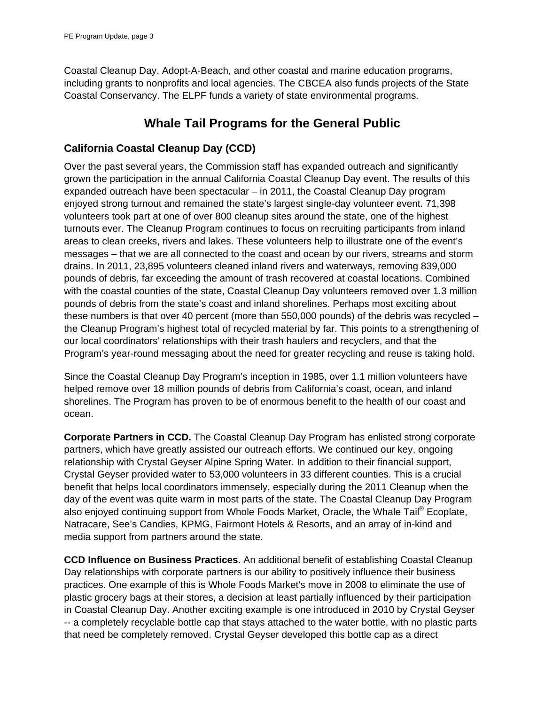Coastal Cleanup Day, Adopt-A-Beach, and other coastal and marine education programs, including grants to nonprofits and local agencies. The CBCEA also funds projects of the State Coastal Conservancy. The ELPF funds a variety of state environmental programs.

# **Whale Tail Programs for the General Public**

## **California Coastal Cleanup Day (CCD)**

Over the past several years, the Commission staff has expanded outreach and significantly grown the participation in the annual California Coastal Cleanup Day event. The results of this expanded outreach have been spectacular – in 2011, the Coastal Cleanup Day program enjoyed strong turnout and remained the state's largest single-day volunteer event. 71,398 volunteers took part at one of over 800 cleanup sites around the state, one of the highest turnouts ever. The Cleanup Program continues to focus on recruiting participants from inland areas to clean creeks, rivers and lakes. These volunteers help to illustrate one of the event's messages – that we are all connected to the coast and ocean by our rivers, streams and storm drains. In 2011, 23,895 volunteers cleaned inland rivers and waterways, removing 839,000 pounds of debris, far exceeding the amount of trash recovered at coastal locations. Combined with the coastal counties of the state, Coastal Cleanup Day volunteers removed over 1.3 million pounds of debris from the state's coast and inland shorelines. Perhaps most exciting about these numbers is that over 40 percent (more than 550,000 pounds) of the debris was recycled – the Cleanup Program's highest total of recycled material by far. This points to a strengthening of our local coordinators' relationships with their trash haulers and recyclers, and that the Program's year-round messaging about the need for greater recycling and reuse is taking hold.

Since the Coastal Cleanup Day Program's inception in 1985, over 1.1 million volunteers have helped remove over 18 million pounds of debris from California's coast, ocean, and inland shorelines. The Program has proven to be of enormous benefit to the health of our coast and ocean.

**Corporate Partners in CCD.** The Coastal Cleanup Day Program has enlisted strong corporate partners, which have greatly assisted our outreach efforts. We continued our key, ongoing relationship with Crystal Geyser Alpine Spring Water. In addition to their financial support, Crystal Geyser provided water to 53,000 volunteers in 33 different counties. This is a crucial benefit that helps local coordinators immensely, especially during the 2011 Cleanup when the day of the event was quite warm in most parts of the state. The Coastal Cleanup Day Program also enjoyed continuing support from Whole Foods Market, Oracle, the Whale Tail<sup>®</sup> Ecoplate, Natracare, See's Candies, KPMG, Fairmont Hotels & Resorts, and an array of in-kind and media support from partners around the state.

**CCD Influence on Business Practices**. An additional benefit of establishing Coastal Cleanup Day relationships with corporate partners is our ability to positively influence their business practices. One example of this is Whole Foods Market's move in 2008 to eliminate the use of plastic grocery bags at their stores, a decision at least partially influenced by their participation in Coastal Cleanup Day. Another exciting example is one introduced in 2010 by Crystal Geyser -- a completely recyclable bottle cap that stays attached to the water bottle, with no plastic parts that need be completely removed. Crystal Geyser developed this bottle cap as a direct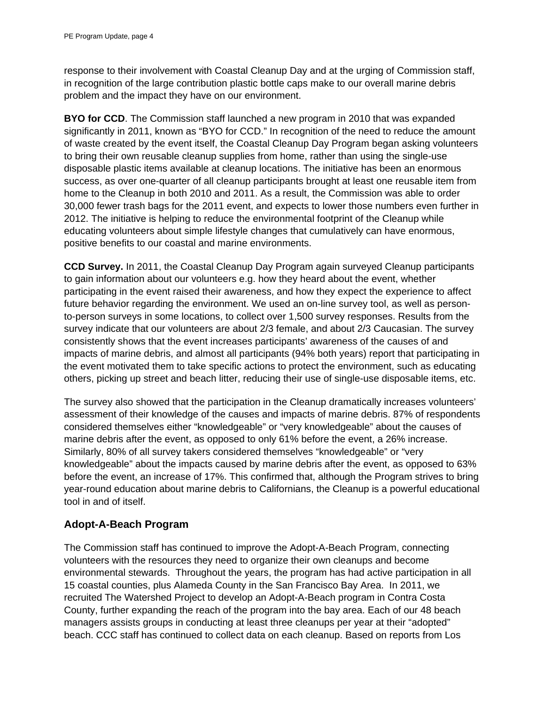response to their involvement with Coastal Cleanup Day and at the urging of Commission staff, in recognition of the large contribution plastic bottle caps make to our overall marine debris problem and the impact they have on our environment.

**BYO for CCD**. The Commission staff launched a new program in 2010 that was expanded significantly in 2011, known as "BYO for CCD." In recognition of the need to reduce the amount of waste created by the event itself, the Coastal Cleanup Day Program began asking volunteers to bring their own reusable cleanup supplies from home, rather than using the single-use disposable plastic items available at cleanup locations. The initiative has been an enormous success, as over one-quarter of all cleanup participants brought at least one reusable item from home to the Cleanup in both 2010 and 2011. As a result, the Commission was able to order 30,000 fewer trash bags for the 2011 event, and expects to lower those numbers even further in 2012. The initiative is helping to reduce the environmental footprint of the Cleanup while educating volunteers about simple lifestyle changes that cumulatively can have enormous, positive benefits to our coastal and marine environments.

**CCD Survey.** In 2011, the Coastal Cleanup Day Program again surveyed Cleanup participants to gain information about our volunteers e.g. how they heard about the event, whether participating in the event raised their awareness, and how they expect the experience to affect future behavior regarding the environment. We used an on-line survey tool, as well as personto-person surveys in some locations, to collect over 1,500 survey responses. Results from the survey indicate that our volunteers are about 2/3 female, and about 2/3 Caucasian. The survey consistently shows that the event increases participants' awareness of the causes of and impacts of marine debris, and almost all participants (94% both years) report that participating in the event motivated them to take specific actions to protect the environment, such as educating others, picking up street and beach litter, reducing their use of single-use disposable items, etc.

The survey also showed that the participation in the Cleanup dramatically increases volunteers' assessment of their knowledge of the causes and impacts of marine debris. 87% of respondents considered themselves either "knowledgeable" or "very knowledgeable" about the causes of marine debris after the event, as opposed to only 61% before the event, a 26% increase. Similarly, 80% of all survey takers considered themselves "knowledgeable" or "very knowledgeable" about the impacts caused by marine debris after the event, as opposed to 63% before the event, an increase of 17%. This confirmed that, although the Program strives to bring year-round education about marine debris to Californians, the Cleanup is a powerful educational tool in and of itself.

## **Adopt-A-Beach Program**

The Commission staff has continued to improve the Adopt-A-Beach Program, connecting volunteers with the resources they need to organize their own cleanups and become environmental stewards. Throughout the years, the program has had active participation in all 15 coastal counties, plus Alameda County in the San Francisco Bay Area. In 2011, we recruited The Watershed Project to develop an Adopt-A-Beach program in Contra Costa County, further expanding the reach of the program into the bay area. Each of our 48 beach managers assists groups in conducting at least three cleanups per year at their "adopted" beach. CCC staff has continued to collect data on each cleanup. Based on reports from Los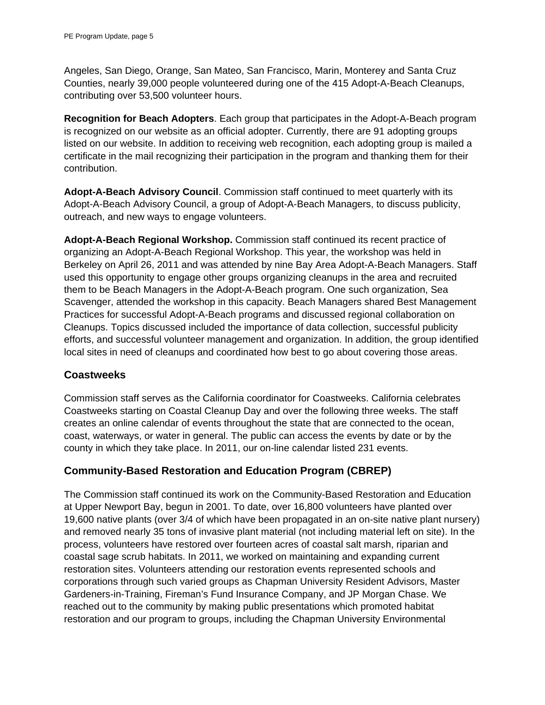Angeles, San Diego, Orange, San Mateo, San Francisco, Marin, Monterey and Santa Cruz Counties, nearly 39,000 people volunteered during one of the 415 Adopt-A-Beach Cleanups, contributing over 53,500 volunteer hours.

**Recognition for Beach Adopters**. Each group that participates in the Adopt-A-Beach program is recognized on our website as an official adopter. Currently, there are 91 adopting groups listed on our website. In addition to receiving web recognition, each adopting group is mailed a certificate in the mail recognizing their participation in the program and thanking them for their contribution.

**Adopt-A-Beach Advisory Council**. Commission staff continued to meet quarterly with its Adopt-A-Beach Advisory Council, a group of Adopt-A-Beach Managers, to discuss publicity, outreach, and new ways to engage volunteers.

**Adopt-A-Beach Regional Workshop.** Commission staff continued its recent practice of organizing an Adopt-A-Beach Regional Workshop. This year, the workshop was held in Berkeley on April 26, 2011 and was attended by nine Bay Area Adopt-A-Beach Managers. Staff used this opportunity to engage other groups organizing cleanups in the area and recruited them to be Beach Managers in the Adopt-A-Beach program. One such organization, Sea Scavenger, attended the workshop in this capacity. Beach Managers shared Best Management Practices for successful Adopt-A-Beach programs and discussed regional collaboration on Cleanups. Topics discussed included the importance of data collection, successful publicity efforts, and successful volunteer management and organization. In addition, the group identified local sites in need of cleanups and coordinated how best to go about covering those areas.

### **Coastweeks**

Commission staff serves as the California coordinator for Coastweeks. California celebrates Coastweeks starting on Coastal Cleanup Day and over the following three weeks. The staff creates an online calendar of events throughout the state that are connected to the ocean, coast, waterways, or water in general. The public can access the events by date or by the county in which they take place. In 2011, our on-line calendar listed 231 events.

### **Community-Based Restoration and Education Program (CBREP)**

The Commission staff continued its work on the Community-Based Restoration and Education at Upper Newport Bay, begun in 2001. To date, over 16,800 volunteers have planted over 19,600 native plants (over 3/4 of which have been propagated in an on-site native plant nursery) and removed nearly 35 tons of invasive plant material (not including material left on site). In the process, volunteers have restored over fourteen acres of coastal salt marsh, riparian and coastal sage scrub habitats. In 2011, we worked on maintaining and expanding current restoration sites. Volunteers attending our restoration events represented schools and corporations through such varied groups as Chapman University Resident Advisors, Master Gardeners-in-Training, Fireman's Fund Insurance Company, and JP Morgan Chase. We reached out to the community by making public presentations which promoted habitat restoration and our program to groups, including the Chapman University Environmental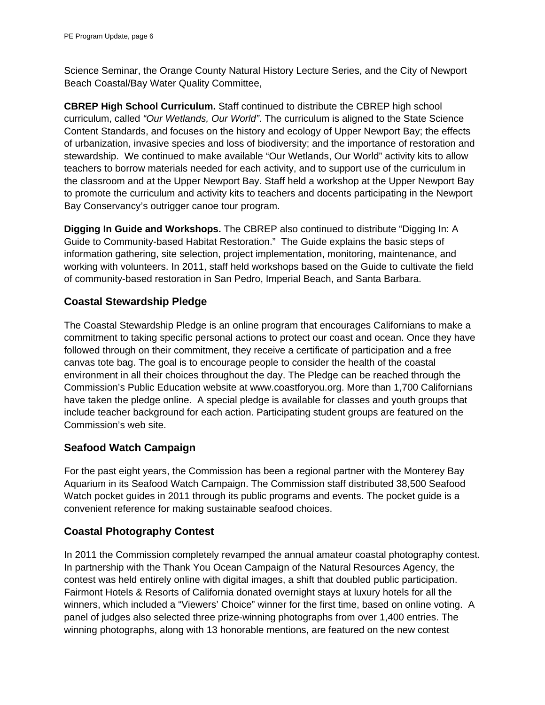Science Seminar, the Orange County Natural History Lecture Series, and the City of Newport Beach Coastal/Bay Water Quality Committee,

**CBREP High School Curriculum.** Staff continued to distribute the CBREP high school curriculum, called *"Our Wetlands, Our World"*. The curriculum is aligned to the State Science Content Standards, and focuses on the history and ecology of Upper Newport Bay; the effects of urbanization, invasive species and loss of biodiversity; and the importance of restoration and stewardship. We continued to make available "Our Wetlands, Our World" activity kits to allow teachers to borrow materials needed for each activity, and to support use of the curriculum in the classroom and at the Upper Newport Bay. Staff held a workshop at the Upper Newport Bay to promote the curriculum and activity kits to teachers and docents participating in the Newport Bay Conservancy's outrigger canoe tour program.

**Digging In Guide and Workshops.** The CBREP also continued to distribute "Digging In: A Guide to Community-based Habitat Restoration."The Guide explains the basic steps of information gathering, site selection, project implementation, monitoring, maintenance, and working with volunteers. In 2011, staff held workshops based on the Guide to cultivate the field of community-based restoration in San Pedro, Imperial Beach, and Santa Barbara.

## **Coastal Stewardship Pledge**

The Coastal Stewardship Pledge is an online program that encourages Californians to make a commitment to taking specific personal actions to protect our coast and ocean. Once they have followed through on their commitment, they receive a certificate of participation and a free canvas tote bag. The goal is to encourage people to consider the health of the coastal environment in all their choices throughout the day. The Pledge can be reached through the Commission's Public Education website at www.coastforyou.org. More than 1,700 Californians have taken the pledge online. A special pledge is available for classes and youth groups that include teacher background for each action. Participating student groups are featured on the Commission's web site.

## **Seafood Watch Campaign**

For the past eight years, the Commission has been a regional partner with the Monterey Bay Aquarium in its Seafood Watch Campaign. The Commission staff distributed 38,500 Seafood Watch pocket guides in 2011 through its public programs and events. The pocket guide is a convenient reference for making sustainable seafood choices.

## **Coastal Photography Contest**

In 2011 the Commission completely revamped the annual amateur coastal photography contest. In partnership with the Thank You Ocean Campaign of the Natural Resources Agency, the contest was held entirely online with digital images, a shift that doubled public participation. Fairmont Hotels & Resorts of California donated overnight stays at luxury hotels for all the winners, which included a "Viewers' Choice" winner for the first time, based on online voting. A panel of judges also selected three prize-winning photographs from over 1,400 entries. The winning photographs, along with 13 honorable mentions, are featured on the new contest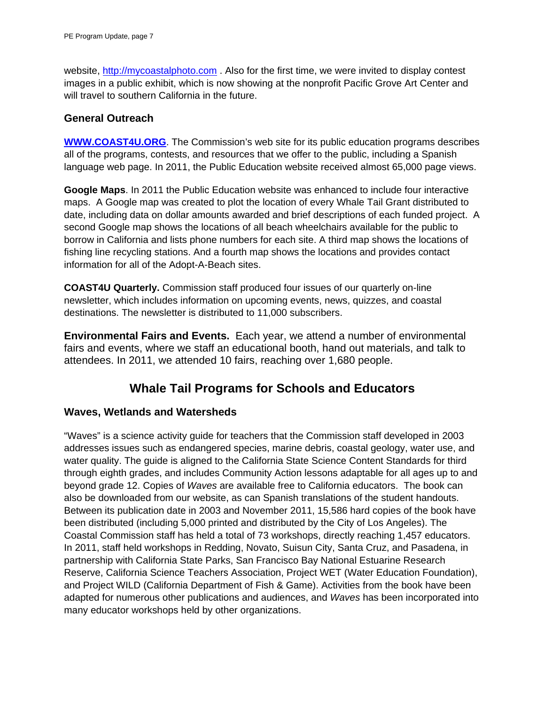website, http://mycoastalphoto.com . Also for the first time, we were invited to display contest images in a public exhibit, which is now showing at the nonprofit Pacific Grove Art Center and will travel to southern California in the future.

### **General Outreach**

**WWW.COAST4U.ORG**. The Commission's web site for its public education programs describes all of the programs, contests, and resources that we offer to the public, including a Spanish language web page. In 2011, the Public Education website received almost 65,000 page views.

**Google Maps**. In 2011 the Public Education website was enhanced to include four interactive maps. A Google map was created to plot the location of every Whale Tail Grant distributed to date, including data on dollar amounts awarded and brief descriptions of each funded project. A second Google map shows the locations of all beach wheelchairs available for the public to borrow in California and lists phone numbers for each site. A third map shows the locations of fishing line recycling stations. And a fourth map shows the locations and provides contact information for all of the Adopt-A-Beach sites.

**COAST4U Quarterly.** Commission staff produced four issues of our quarterly on-line newsletter, which includes information on upcoming events, news, quizzes, and coastal destinations. The newsletter is distributed to 11,000 subscribers.

**Environmental Fairs and Events.** Each year, we attend a number of environmental fairs and events, where we staff an educational booth, hand out materials, and talk to attendees. In 2011, we attended 10 fairs, reaching over 1,680 people.

# **Whale Tail Programs for Schools and Educators**

### **Waves, Wetlands and Watersheds**

"Waves" is a science activity guide for teachers that the Commission staff developed in 2003 addresses issues such as endangered species, marine debris, coastal geology, water use, and water quality. The guide is aligned to the California State Science Content Standards for third through eighth grades, and includes Community Action lessons adaptable for all ages up to and beyond grade 12. Copies of *Waves* are available free to California educators. The book can also be downloaded from our website, as can Spanish translations of the student handouts. Between its publication date in 2003 and November 2011, 15,586 hard copies of the book have been distributed (including 5,000 printed and distributed by the City of Los Angeles). The Coastal Commission staff has held a total of 73 workshops, directly reaching 1,457 educators. In 2011, staff held workshops in Redding, Novato, Suisun City, Santa Cruz, and Pasadena, in partnership with California State Parks, San Francisco Bay National Estuarine Research Reserve, California Science Teachers Association, Project WET (Water Education Foundation), and Project WILD (California Department of Fish & Game). Activities from the book have been adapted for numerous other publications and audiences, and *Waves* has been incorporated into many educator workshops held by other organizations.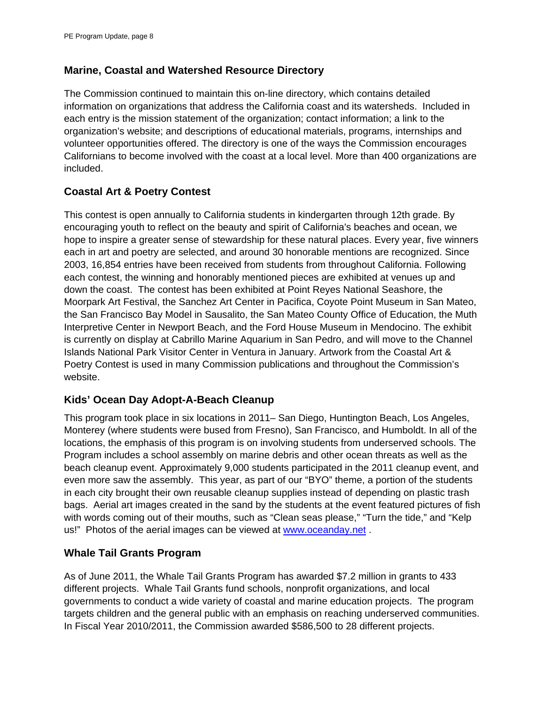### **Marine, Coastal and Watershed Resource Directory**

The Commission continued to maintain this on-line directory, which contains detailed information on organizations that address the California coast and its watersheds. Included in each entry is the mission statement of the organization; contact information; a link to the organization's website; and descriptions of educational materials, programs, internships and volunteer opportunities offered. The directory is one of the ways the Commission encourages Californians to become involved with the coast at a local level. More than 400 organizations are included.

## **Coastal Art & Poetry Contest**

This contest is open annually to California students in kindergarten through 12th grade. By encouraging youth to reflect on the beauty and spirit of California's beaches and ocean, we hope to inspire a greater sense of stewardship for these natural places. Every year, five winners each in art and poetry are selected, and around 30 honorable mentions are recognized. Since 2003, 16,854 entries have been received from students from throughout California. Following each contest, the winning and honorably mentioned pieces are exhibited at venues up and down the coast. The contest has been exhibited at Point Reyes National Seashore, the Moorpark Art Festival, the Sanchez Art Center in Pacifica, Coyote Point Museum in San Mateo, the San Francisco Bay Model in Sausalito, the San Mateo County Office of Education, the Muth Interpretive Center in Newport Beach, and the Ford House Museum in Mendocino. The exhibit is currently on display at Cabrillo Marine Aquarium in San Pedro, and will move to the Channel Islands National Park Visitor Center in Ventura in January. Artwork from the Coastal Art & Poetry Contest is used in many Commission publications and throughout the Commission's website.

## **Kids' Ocean Day Adopt-A-Beach Cleanup**

This program took place in six locations in 2011– San Diego, Huntington Beach, Los Angeles, Monterey (where students were bused from Fresno), San Francisco, and Humboldt. In all of the locations, the emphasis of this program is on involving students from underserved schools. The Program includes a school assembly on marine debris and other ocean threats as well as the beach cleanup event. Approximately 9,000 students participated in the 2011 cleanup event, and even more saw the assembly. This year, as part of our "BYO" theme, a portion of the students in each city brought their own reusable cleanup supplies instead of depending on plastic trash bags. Aerial art images created in the sand by the students at the event featured pictures of fish with words coming out of their mouths, such as "Clean seas please," "Turn the tide," and "Kelp us!" Photos of the aerial images can be viewed at www.oceanday.net .

## **Whale Tail Grants Program**

As of June 2011, the Whale Tail Grants Program has awarded \$7.2 million in grants to 433 different projects. Whale Tail Grants fund schools, nonprofit organizations, and local governments to conduct a wide variety of coastal and marine education projects. The program targets children and the general public with an emphasis on reaching underserved communities. In Fiscal Year 2010/2011, the Commission awarded \$586,500 to 28 different projects.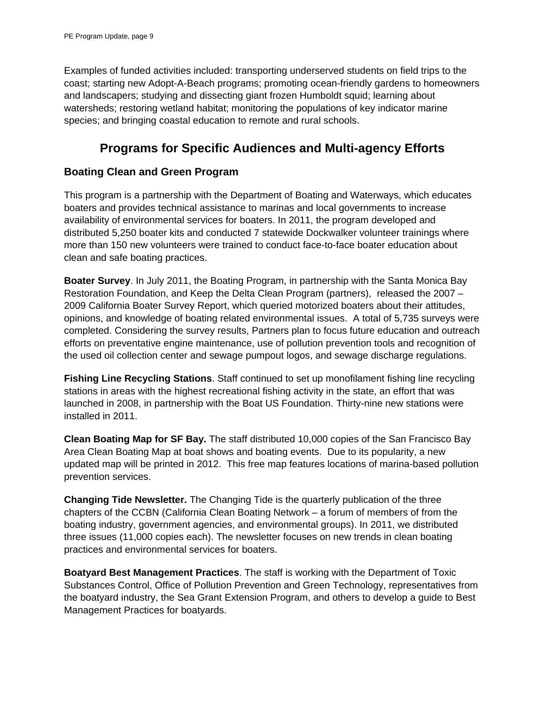Examples of funded activities included: transporting underserved students on field trips to the coast; starting new Adopt-A-Beach programs; promoting ocean-friendly gardens to homeowners and landscapers; studying and dissecting giant frozen Humboldt squid; learning about watersheds; restoring wetland habitat; monitoring the populations of key indicator marine species; and bringing coastal education to remote and rural schools.

# **Programs for Specific Audiences and Multi-agency Efforts**

## **Boating Clean and Green Program**

This program is a partnership with the Department of Boating and Waterways, which educates boaters and provides technical assistance to marinas and local governments to increase availability of environmental services for boaters. In 2011, the program developed and distributed 5,250 boater kits and conducted 7 statewide Dockwalker volunteer trainings where more than 150 new volunteers were trained to conduct face-to-face boater education about clean and safe boating practices.

**Boater Survey**. In July 2011, the Boating Program, in partnership with the Santa Monica Bay Restoration Foundation, and Keep the Delta Clean Program (partners), released the 2007 – 2009 California Boater Survey Report, which queried motorized boaters about their attitudes, opinions, and knowledge of boating related environmental issues. A total of 5,735 surveys were completed. Considering the survey results, Partners plan to focus future education and outreach efforts on preventative engine maintenance, use of pollution prevention tools and recognition of the used oil collection center and sewage pumpout logos, and sewage discharge regulations.

**Fishing Line Recycling Stations**. Staff continued to set up monofilament fishing line recycling stations in areas with the highest recreational fishing activity in the state, an effort that was launched in 2008, in partnership with the Boat US Foundation. Thirty-nine new stations were installed in 2011.

**Clean Boating Map for SF Bay.** The staff distributed 10,000 copies of the San Francisco Bay Area Clean Boating Map at boat shows and boating events. Due to its popularity, a new updated map will be printed in 2012. This free map features locations of marina-based pollution prevention services.

**Changing Tide Newsletter.** The Changing Tide is the quarterly publication of the three chapters of the CCBN (California Clean Boating Network – a forum of members of from the boating industry, government agencies, and environmental groups). In 2011, we distributed three issues (11,000 copies each). The newsletter focuses on new trends in clean boating practices and environmental services for boaters.

**Boatyard Best Management Practices**. The staff is working with the Department of Toxic Substances Control, Office of Pollution Prevention and Green Technology, representatives from the boatyard industry, the Sea Grant Extension Program, and others to develop a guide to Best Management Practices for boatyards.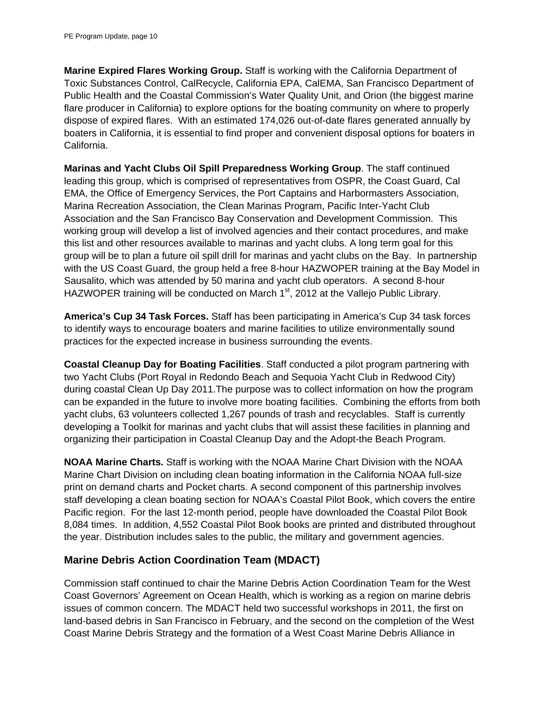**Marine Expired Flares Working Group.** Staff is working with the California Department of Toxic Substances Control, CalRecycle, California EPA, CalEMA, San Francisco Department of Public Health and the Coastal Commission's Water Quality Unit, and Orion (the biggest marine flare producer in California) to explore options for the boating community on where to properly dispose of expired flares. With an estimated 174,026 out-of-date flares generated annually by boaters in California, it is essential to find proper and convenient disposal options for boaters in California.

**Marinas and Yacht Clubs Oil Spill Preparedness Working Group**. The staff continued leading this group, which is comprised of representatives from OSPR, the Coast Guard, Cal EMA, the Office of Emergency Services, the Port Captains and Harbormasters Association, Marina Recreation Association, the Clean Marinas Program, Pacific Inter-Yacht Club Association and the San Francisco Bay Conservation and Development Commission. This working group will develop a list of involved agencies and their contact procedures, and make this list and other resources available to marinas and yacht clubs. A long term goal for this group will be to plan a future oil spill drill for marinas and yacht clubs on the Bay. In partnership with the US Coast Guard, the group held a free 8-hour HAZWOPER training at the Bay Model in Sausalito, which was attended by 50 marina and yacht club operators. A second 8-hour HAZWOPER training will be conducted on March  $1<sup>st</sup>$ , 2012 at the Vallejo Public Library.

**America's Cup 34 Task Forces.** Staff has been participating in America's Cup 34 task forces to identify ways to encourage boaters and marine facilities to utilize environmentally sound practices for the expected increase in business surrounding the events.

**Coastal Cleanup Day for Boating Facilities**. Staff conducted a pilot program partnering with two Yacht Clubs (Port Royal in Redondo Beach and Sequoia Yacht Club in Redwood City) during coastal Clean Up Day 2011.The purpose was to collect information on how the program can be expanded in the future to involve more boating facilities. Combining the efforts from both yacht clubs, 63 volunteers collected 1,267 pounds of trash and recyclables. Staff is currently developing a Toolkit for marinas and yacht clubs that will assist these facilities in planning and organizing their participation in Coastal Cleanup Day and the Adopt-the Beach Program.

**NOAA Marine Charts.** Staff is working with the NOAA Marine Chart Division with the NOAA Marine Chart Division on including clean boating information in the California NOAA full-size print on demand charts and Pocket charts. A second component of this partnership involves staff developing a clean boating section for NOAA's Coastal Pilot Book, which covers the entire Pacific region. For the last 12-month period, people have downloaded the Coastal Pilot Book 8,084 times. In addition, 4,552 Coastal Pilot Book books are printed and distributed throughout the year. Distribution includes sales to the public, the military and government agencies.

### **Marine Debris Action Coordination Team (MDACT)**

Commission staff continued to chair the Marine Debris Action Coordination Team for the West Coast Governors' Agreement on Ocean Health, which is working as a region on marine debris issues of common concern. The MDACT held two successful workshops in 2011, the first on land-based debris in San Francisco in February, and the second on the completion of the West Coast Marine Debris Strategy and the formation of a West Coast Marine Debris Alliance in